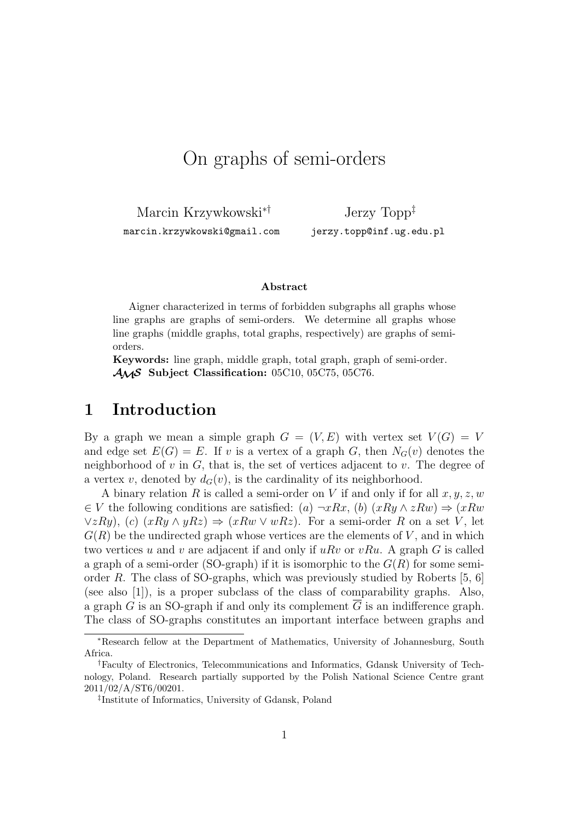# On graphs of semi-orders

Marcin Krzywkowski∗†

marcin.krzywkowski@gmail.com

Jerzy Topp‡ jerzy.topp@inf.ug.edu.pl

#### **Abstract**

Aigner characterized in terms of forbidden subgraphs all graphs whose line graphs are graphs of semi-orders. We determine all graphs whose line graphs (middle graphs, total graphs, respectively) are graphs of semiorders.

**Keywords:** line graph, middle graph, total graph, graph of semi-order. AMS **Subject Classification:** 05C10, 05C75, 05C76.

### **1 Introduction**

By a graph we mean a simple graph  $G = (V, E)$  with vertex set  $V(G) = V$ and edge set  $E(G) = E$ . If v is a vertex of a graph G, then  $N_G(v)$  denotes the neighborhood of  $v$  in  $G$ , that is, the set of vertices adjacent to  $v$ . The degree of a vertex v, denoted by  $d_G(v)$ , is the cardinality of its neighborhood.

A binary relation R is called a semi-order on V if and only if for all  $x, y, z, w$  $\in V$  the following conditions are satisfied: (a)  $\neg xRx$ , (b)  $(xRy \land zRw) \Rightarrow (xRw)$  $\forall z Ry$ , (c)  $(xRy \land yRz) \Rightarrow (xRw \lor wRz)$ . For a semi-order R on a set V, let  $G(R)$  be the undirected graph whose vertices are the elements of V, and in which two vertices u and v are adjacent if and only if  $uRv$  or  $vRu$ . A graph G is called a graph of a semi-order (SO-graph) if it is isomorphic to the  $G(R)$  for some semiorder R. The class of SO-graphs, which was previously studied by Roberts  $[5, 6]$ (see also [1]), is a proper subclass of the class of comparability graphs. Also, a graph G is an SO-graph if and only its complement  $\overline{G}$  is an indifference graph. The class of SO-graphs constitutes an important interface between graphs and

<sup>∗</sup>Research fellow at the Department of Mathematics, University of Johannesburg, South Africa.

<sup>†</sup>Faculty of Electronics, Telecommunications and Informatics, Gdansk University of Technology, Poland. Research partially supported by the Polish National Science Centre grant 2011/02/A/ST6/00201.

<sup>‡</sup> Institute of Informatics, University of Gdansk, Poland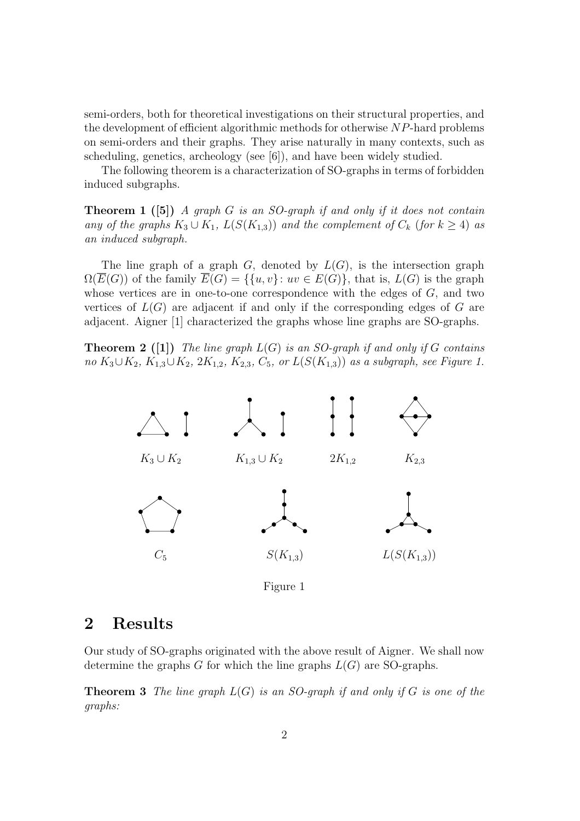semi-orders, both for theoretical investigations on their structural properties, and the development of efficient algorithmic methods for otherwise NP-hard problems on semi-orders and their graphs. They arise naturally in many contexts, such as scheduling, genetics, archeology (see [6]), and have been widely studied.

The following theorem is a characterization of SO-graphs in terms of forbidden induced subgraphs.

**Theorem 1 ([5])** *A graph* G *is an SO-graph if and only if it does not contain any of the graphs*  $K_3 \cup K_1$ ,  $L(S(K_{1,3}))$  *and the complement of*  $C_k$  (*for*  $k \geq 4$ ) *as an induced subgraph.*

The line graph of a graph  $G$ , denoted by  $L(G)$ , is the intersection graph  $\Omega(E(G))$  of the family  $E(G) = \{ \{u, v\} : uv \in E(G) \}$ , that is,  $L(G)$  is the graph whose vertices are in one-to-one correspondence with the edges of  $G$ , and two vertices of  $L(G)$  are adjacent if and only if the corresponding edges of G are adjacent. Aigner [1] characterized the graphs whose line graphs are SO-graphs.

**Theorem 2 ([1])** *The line graph* L(G) *is an SO-graph if and only if* G *contains no*  $K_3 \cup K_2$ ,  $K_{1,3} \cup K_2$ ,  $2K_{1,2}$ ,  $K_{2,3}$ ,  $C_5$ , or  $L(S(K_{1,3}))$  *as a subgraph, see Figure 1.* 



Figure 1

#### **2 Results**

Our study of SO-graphs originated with the above result of Aigner. We shall now determine the graphs  $G$  for which the line graphs  $L(G)$  are SO-graphs.

**Theorem 3** *The line graph* L(G) *is an SO-graph if and only if* G *is one of the graphs:*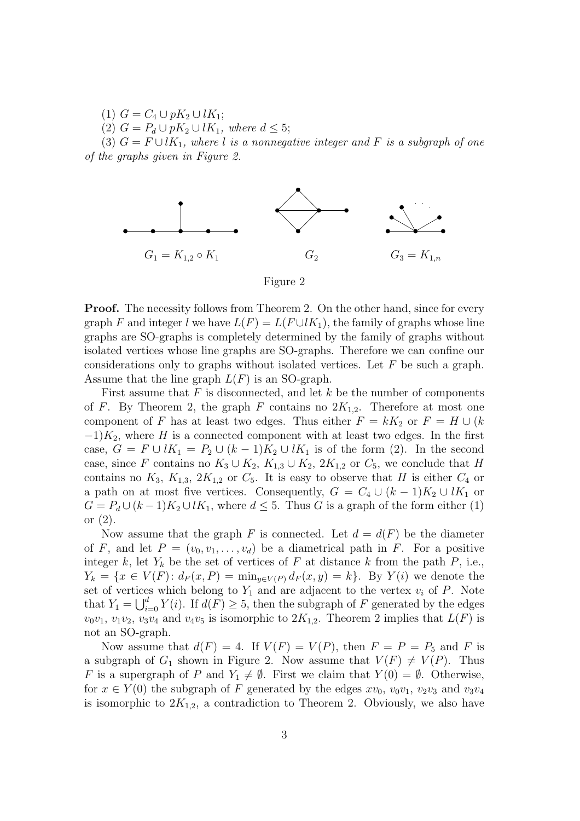(1)  $G = C_4 \cup pK_2 \cup lK_1;$ 

(2) 
$$
G = P_d \cup pK_2 \cup lK_1, \text{ where } d \leq 5;
$$

(3)  $G = F \cup lK_1$ , where l *is a nonnegative integer and* F *is a subgraph of one of the graphs given in Figure 2.*



Figure 2

**Proof.** The necessity follows from Theorem 2. On the other hand, since for every graph F and integer l we have  $L(F) = L(F \cup K_1)$ , the family of graphs whose line graphs are SO-graphs is completely determined by the family of graphs without isolated vertices whose line graphs are SO-graphs. Therefore we can confine our considerations only to graphs without isolated vertices. Let  $F$  be such a graph. Assume that the line graph  $L(F)$  is an SO-graph.

First assume that  $F$  is disconnected, and let  $k$  be the number of components of F. By Theorem 2, the graph F contains no  $2K_{1,2}$ . Therefore at most one component of F has at least two edges. Thus either  $F = kK_2$  or  $F = H \cup (k)$  $-1)K_2$ , where H is a connected component with at least two edges. In the first case,  $G = F \cup lK_1 = P_2 \cup (k-1)K_2 \cup lK_1$  is of the form (2). In the second case, since F contains no  $K_3 \cup K_2$ ,  $K_{1,3} \cup K_2$ ,  $2K_{1,2}$  or  $C_5$ , we conclude that H contains no  $K_3$ ,  $K_{1,3}$ ,  $2K_{1,2}$  or  $C_5$ . It is easy to observe that H is either  $C_4$  or a path on at most five vertices. Consequently,  $G = C_4 \cup (k-1)K_2 \cup lK_1$  or  $G = P_d \cup (k-1)K_2 \cup lK_1$ , where  $d \leq 5$ . Thus G is a graph of the form either (1) or (2).

Now assume that the graph F is connected. Let  $d = d(F)$  be the diameter of F, and let  $P = (v_0, v_1, \ldots, v_d)$  be a diametrical path in F. For a positive integer k, let  $Y_k$  be the set of vertices of F at distance k from the path P, i.e.,  $Y_k = \{x \in V(F) : d_F(x, P) = \min_{y \in V(P)} d_F(x, y) = k\}.$  By  $Y(i)$  we denote the set of vertices which belong to  $Y_1$  and are adjacent to the vertex  $v_i$  of P. Note that  $Y_1 = \bigcup_{i=0}^d Y(i)$ . If  $d(F) \geq 5$ , then the subgraph of F generated by the edges  $v_0v_1, v_1v_2, v_3v_4$  and  $v_4v_5$  is isomorphic to  $2K_{1,2}$ . Theorem 2 implies that  $L(F)$  is not an SO-graph.

Now assume that  $d(F) = 4$ . If  $V(F) = V(P)$ , then  $F = P = P_5$  and F is a subgraph of  $G_1$  shown in Figure 2. Now assume that  $V(F) \neq V(P)$ . Thus F is a supergraph of P and  $Y_1 \neq \emptyset$ . First we claim that  $Y(0) = \emptyset$ . Otherwise, for  $x \in Y(0)$  the subgraph of F generated by the edges  $xv_0$ ,  $v_0v_1$ ,  $v_2v_3$  and  $v_3v_4$ is isomorphic to  $2K_{1,2}$ , a contradiction to Theorem 2. Obviously, we also have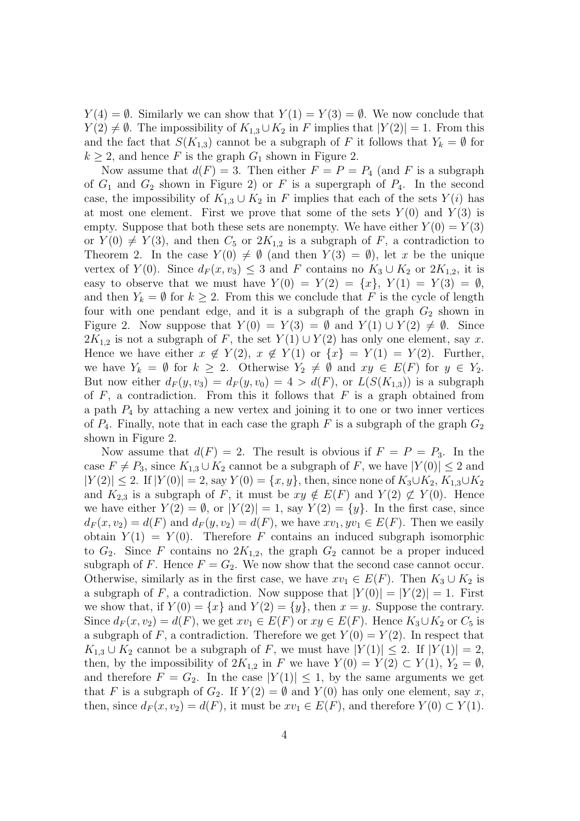$Y(4) = \emptyset$ . Similarly we can show that  $Y(1) = Y(3) = \emptyset$ . We now conclude that  $Y(2) \neq \emptyset$ . The impossibility of  $K_{1,3} \cup K_2$  in F implies that  $|Y(2)| = 1$ . From this and the fact that  $S(K_{1,3})$  cannot be a subgraph of F it follows that  $Y_k = \emptyset$  for  $k \geq 2$ , and hence F is the graph  $G_1$  shown in Figure 2.

Now assume that  $d(F) = 3$ . Then either  $F = P = P_4$  (and F is a subgraph of  $G_1$  and  $G_2$  shown in Figure 2) or F is a supergraph of  $P_4$ . In the second case, the impossibility of  $K_{1,3} \cup K_2$  in F implies that each of the sets  $Y(i)$  has at most one element. First we prove that some of the sets  $Y(0)$  and  $Y(3)$  is empty. Suppose that both these sets are nonempty. We have either  $Y(0) = Y(3)$ or  $Y(0) \neq Y(3)$ , and then  $C_5$  or  $2K_{1,2}$  is a subgraph of F, a contradiction to Theorem 2. In the case  $Y(0) \neq \emptyset$  (and then  $Y(3) = \emptyset$ ), let x be the unique vertex of  $Y(0)$ . Since  $d_F(x, v_3) \leq 3$  and F contains no  $K_3 \cup K_2$  or  $2K_{1,2}$ , it is easy to observe that we must have  $Y(0) = Y(2) = \{x\}, Y(1) = Y(3) = \emptyset$ , and then  $Y_k = \emptyset$  for  $k \geq 2$ . From this we conclude that F is the cycle of length four with one pendant edge, and it is a subgraph of the graph  $G_2$  shown in Figure 2. Now suppose that  $Y(0) = Y(3) = \emptyset$  and  $Y(1) \cup Y(2) \neq \emptyset$ . Since  $2K_{1,2}$  is not a subgraph of F, the set  $Y(1) \cup Y(2)$  has only one element, say x. Hence we have either  $x \notin Y(2)$ ,  $x \notin Y(1)$  or  $\{x\} = Y(1) = Y(2)$ . Further, we have  $Y_k = \emptyset$  for  $k \geq 2$ . Otherwise  $Y_2 \neq \emptyset$  and  $xy \in E(F)$  for  $y \in Y_2$ . But now either  $d_F(y, v_3) = d_F(y, v_0) = 4 > d(F)$ , or  $L(S(K_{1,3}))$  is a subgraph of  $F$ , a contradiction. From this it follows that  $F$  is a graph obtained from a path  $P_4$  by attaching a new vertex and joining it to one or two inner vertices of  $P_4$ . Finally, note that in each case the graph F is a subgraph of the graph  $G_2$ shown in Figure 2.

Now assume that  $d(F) = 2$ . The result is obvious if  $F = P = P_3$ . In the case  $F \neq P_3$ , since  $K_{1,3} \cup K_2$  cannot be a subgraph of F, we have  $|Y(0)| \leq 2$  and  $|Y(2)| \le 2$ . If  $|Y(0)| = 2$ , say  $Y(0) = \{x, y\}$ , then, since none of  $K_3 \cup K_2$ ,  $K_{1,3} \cup K_2$ and  $K_{2,3}$  is a subgraph of F, it must be  $xy \notin E(F)$  and  $Y(2) \not\subset Y(0)$ . Hence we have either  $Y(2) = \emptyset$ , or  $|Y(2)| = 1$ , say  $Y(2) = \{y\}$ . In the first case, since  $d_F(x, v_2) = d(F)$  and  $d_F(y, v_2) = d(F)$ , we have  $xv_1, yv_1 \in E(F)$ . Then we easily obtain  $Y(1) = Y(0)$ . Therefore F contains an induced subgraph isomorphic to  $G_2$ . Since F contains no  $2K_{1,2}$ , the graph  $G_2$  cannot be a proper induced subgraph of F. Hence  $F = G_2$ . We now show that the second case cannot occur. Otherwise, similarly as in the first case, we have  $xv_1 \in E(F)$ . Then  $K_3 \cup K_2$  is a subgraph of F, a contradiction. Now suppose that  $|Y(0)| = |Y(2)| = 1$ . First we show that, if  $Y(0) = \{x\}$  and  $Y(2) = \{y\}$ , then  $x = y$ . Suppose the contrary. Since  $d_F(x, v_2) = d(F)$ , we get  $xv_1 \in E(F)$  or  $xy \in E(F)$ . Hence  $K_3 \cup K_2$  or  $C_5$  is a subgraph of F, a contradiction. Therefore we get  $Y(0) = Y(2)$ . In respect that  $K_{1,3} \cup K_2$  cannot be a subgraph of F, we must have  $|Y(1)| \leq 2$ . If  $|Y(1)| = 2$ , then, by the impossibility of  $2K_{1,2}$  in F we have  $Y(0) = Y(2) \subset Y(1)$ ,  $Y_2 = \emptyset$ , and therefore  $F = G_2$ . In the case  $|Y(1)| \leq 1$ , by the same arguments we get that F is a subgraph of  $G_2$ . If  $Y(2) = \emptyset$  and  $Y(0)$  has only one element, say x, then, since  $d_F(x, v_2) = d(F)$ , it must be  $xv_1 \in E(F)$ , and therefore  $Y(0) \subset Y(1)$ .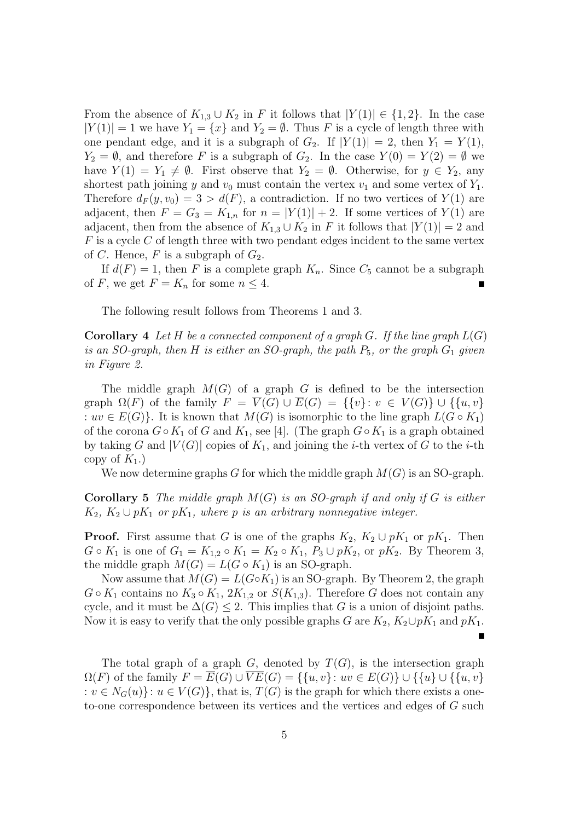From the absence of  $K_{1,3} \cup K_2$  in F it follows that  $|Y(1)| \in \{1,2\}$ . In the case  $|Y(1)| = 1$  we have  $Y_1 = \{x\}$  and  $Y_2 = \emptyset$ . Thus F is a cycle of length three with one pendant edge, and it is a subgraph of  $G_2$ . If  $|Y(1)| = 2$ , then  $Y_1 = Y(1)$ ,  $Y_2 = \emptyset$ , and therefore F is a subgraph of  $G_2$ . In the case  $Y(0) = Y(2) = \emptyset$  we have  $Y(1) = Y_1 \neq \emptyset$ . First observe that  $Y_2 = \emptyset$ . Otherwise, for  $y \in Y_2$ , any shortest path joining y and  $v_0$  must contain the vertex  $v_1$  and some vertex of  $Y_1$ . Therefore  $d_F(y, v_0) = 3 > d(F)$ , a contradiction. If no two vertices of  $Y(1)$  are adjacent, then  $F = G_3 = K_{1,n}$  for  $n = |Y(1)| + 2$ . If some vertices of  $Y(1)$  are adjacent, then from the absence of  $K_{1,3} \cup K_2$  in F it follows that  $|Y(1)| = 2$  and  $F$  is a cycle  $C$  of length three with two pendant edges incident to the same vertex of C. Hence, F is a subgraph of  $G_2$ .

If  $d(F) = 1$ , then F is a complete graph  $K_n$ . Since  $C_5$  cannot be a subgraph of F, we get  $F = K_n$  for some  $n \leq 4$ .

The following result follows from Theorems 1 and 3.

**Corollary** 4 Let H be a connected component of a graph  $G$ . If the line graph  $L(G)$ *is an SO-graph, then*  $H$  *is either an SO-graph, the path*  $P_5$ *, or the graph*  $G_1$  *given in Figure 2.*

The middle graph  $M(G)$  of a graph G is defined to be the intersection graph  $\Omega(F)$  of the family  $F = \overline{V}(G) \cup \overline{E}(G) = \{\{v\} : v \in V(G)\} \cup \{\{u,v\}$ :  $uv \in E(G)$ . It is known that  $M(G)$  is isomorphic to the line graph  $L(G \circ K_1)$ of the corona  $G ∘ K_1$  of G and  $K_1$ , see [4]. (The graph  $G ∘ K_1$  is a graph obtained by taking G and  $|V(G)|$  copies of  $K_1$ , and joining the *i*-th vertex of G to the *i*-th copy of  $K_1$ .)

We now determine graphs G for which the middle graph  $M(G)$  is an SO-graph.

**Corollary 5** *The middle graph* M(G) *is an SO-graph if and only if* G *is either*  $K_2, K_2 \cup pK_1$  *or*  $pK_1$ *, where p is an arbitrary nonnegative integer.* 

**Proof.** First assume that G is one of the graphs  $K_2$ ,  $K_2 \cup pK_1$  or  $pK_1$ . Then  $G \circ K_1$  is one of  $G_1 = K_{1,2} \circ K_1 = K_2 \circ K_1$ ,  $P_3 \cup pK_2$ , or  $pK_2$ . By Theorem 3, the middle graph  $M(G) = L(G \circ K_1)$  is an SO-graph.

Now assume that  $M(G) = L(G \circ K_1)$  is an SO-graph. By Theorem 2, the graph  $G \circ K_1$  contains no  $K_3 \circ K_1$ ,  $2K_{1,2}$  or  $S(K_{1,3})$ . Therefore G does not contain any cycle, and it must be  $\Delta(G) \leq 2$ . This implies that G is a union of disjoint paths. Now it is easy to verify that the only possible graphs G are  $K_2$ ,  $K_2 \cup pK_1$  and  $pK_1$ .  $\blacksquare$ 

The total graph of a graph  $G$ , denoted by  $T(G)$ , is the intersection graph  $\Omega(F)$  of the family  $F = \overline{E}(G) \cup \overline{VE}(G) = \{\{u,v\}: uv \in E(G)\} \cup \{\{u\} \cup \{\{u,v\}\}\}$ :  $v \in N_G(u)$ :  $u \in V(G)$ , that is,  $T(G)$  is the graph for which there exists a oneto-one correspondence between its vertices and the vertices and edges of G such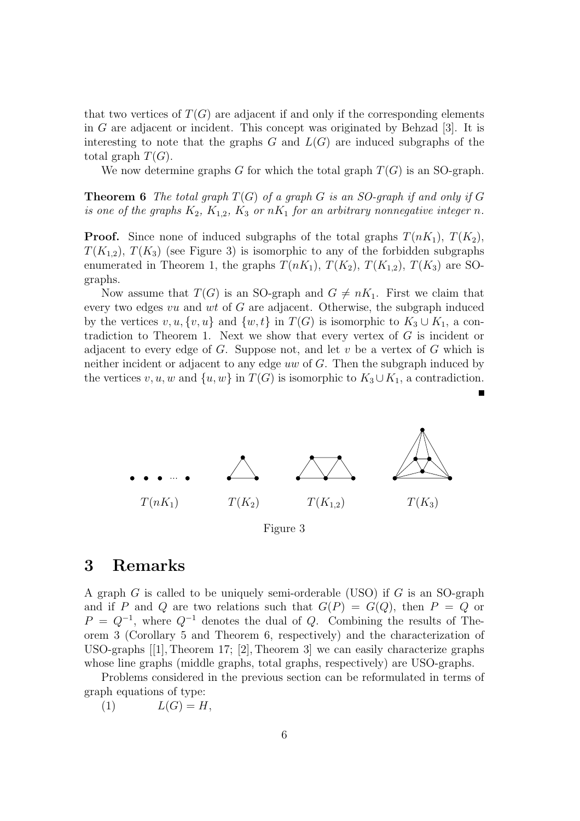that two vertices of  $T(G)$  are adjacent if and only if the corresponding elements in G are adjacent or incident. This concept was originated by Behzad [3]. It is interesting to note that the graphs  $G$  and  $L(G)$  are induced subgraphs of the total graph  $T(G)$ .

We now determine graphs G for which the total graph  $T(G)$  is an SO-graph.

**Theorem 6** *The total graph*  $T(G)$  *of a graph G is an SO-graph if and only if*  $G$ *is one of the graphs*  $K_2$ ,  $K_{1,2}$ ,  $K_3$  *or*  $nK_1$  *for an arbitrary nonnegative integer n*.

**Proof.** Since none of induced subgraphs of the total graphs  $T(nK_1)$ ,  $T(K_2)$ ,  $T(K_{1,2}), T(K_3)$  (see Figure 3) is isomorphic to any of the forbidden subgraphs enumerated in Theorem 1, the graphs  $T(nK_1)$ ,  $T(K_2)$ ,  $T(K_{1,2})$ ,  $T(K_3)$  are SOgraphs.

Now assume that  $T(G)$  is an SO-graph and  $G \neq nK_1$ . First we claim that every two edges vu and wt of G are adjacent. Otherwise, the subgraph induced by the vertices  $v, u, \{v, u\}$  and  $\{w, t\}$  in  $T(G)$  is isomorphic to  $K_3 \cup K_1$ , a contradiction to Theorem 1. Next we show that every vertex of  $G$  is incident or adjacent to every edge of  $G$ . Suppose not, and let  $v$  be a vertex of  $G$  which is neither incident or adjacent to any edge uw of G. Then the subgraph induced by the vertices v, u, w and  $\{u, w\}$  in  $T(G)$  is isomorphic to  $K_3 \cup K_1$ , a contradiction.



Figure 3

#### **3 Remarks**

A graph G is called to be uniquely semi-orderable (USO) if G is an SO-graph and if P and Q are two relations such that  $G(P) = G(Q)$ , then  $P = Q$  or  $P = Q^{-1}$ , where  $Q^{-1}$  denotes the dual of Q. Combining the results of Theorem 3 (Corollary 5 and Theorem 6, respectively) and the characterization of USO-graphs [[1], Theorem 17; [2], Theorem 3] we can easily characterize graphs whose line graphs (middle graphs, total graphs, respectively) are USO-graphs.

Problems considered in the previous section can be reformulated in terms of graph equations of type:

(1)  $L(G) = H$ ,